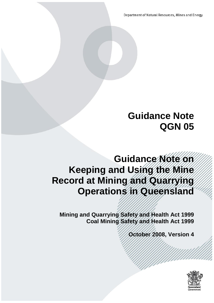Department of Natural Resources, Mines and Energy

# **Guidance Note QGN 05**

# **Guidance Note on Keeping and Using the Mine Record at Mining and Quarrying Operations in Queensland**

**Mining and Quarrying Safety and Health Act 1999 Coal Mining Safety and Health Act 1999**

**October 2008, Version 4**

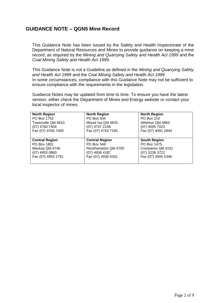## **GUIDANCE NOTE – QGN5 Mine Record**

This Guidance Note has been issued by the Safety and Health Inspectorate of the Department of Natural Resources and Mines to provide guidance on keeping a mine record, as required by the *Mining and Quarrying Safety and Health Act 1999* and the *Coal Mining Safety and Health Act 1999*.

This Guidance Note is not a Guideline as defined in the *Mining and Quarrying Safety and Health Act 1999* and the *Coal Mining Safety and Health Act 1999* In some circumstances, compliance with this Guidance Note may not be sufficient to ensure compliance with the requirements in the legislation.

Guidance Notes may be updated from time to time. To ensure you have the latest version, either check the Department of Mines and Energy website or contact your local inspector of mines.

| <b>North Region</b>   | <b>North Region</b>   | <b>North Region</b> |
|-----------------------|-----------------------|---------------------|
| PO Box 1752           | PO Box 334            | PO Box 210          |
| Townsville Qld 4810   | Mount Isa Qld 4825    | Atherton Qld 4883   |
| (07) 4760 7404        | (07) 4747 2158        | (07) 4095 7023      |
| Fax (07) 4760 7400    | Fax (07) 4743 7165    | Fax (07) 4091 2844  |
|                       |                       |                     |
|                       |                       |                     |
| <b>Central Region</b> | <b>Central Region</b> | <b>South Region</b> |
| PO Box 1801           | PO Box 548            | PO Box 1475         |
| Mackay Qld 4740       | Rockhampton Qld 4700  | Coorparoo Qld 4151  |
| (07) 4953 0860        | (07) 4938 4187        | (07) 3238 3722      |
| Fax (07) 4953 2761    | Fax (07) 4938 4331    | Fax (07) 3405 5346  |
|                       |                       |                     |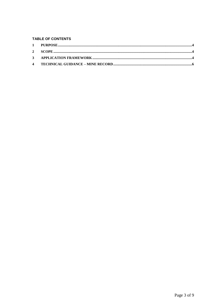#### TABLE OF CONTENTS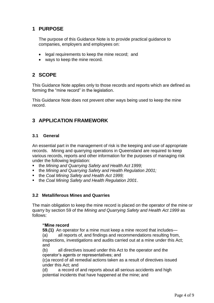## <span id="page-3-0"></span>**1 PURPOSE**

The purpose of this Guidance Note is to provide practical guidance to companies, employers and employees on:

- legal requirements to keep the mine record; and
- ways to keep the mine record.

## <span id="page-3-1"></span>**2 SCOPE**

This Guidance Note applies only to those records and reports which are defined as forming the "mine record" in the legislation.

This Guidance Note does not prevent other ways being used to keep the mine record.

# <span id="page-3-2"></span>**3 APPLICATION FRAMEWORK**

## **3.1 General**

An essential part in the management of risk is the keeping and use of appropriate records. Mining and quarrying operations in Queensland are required to keep various records, reports and other information for the purposes of managing risk under the following legislation:

- the *Mining and Quarrying Safety and Health Act 1999;*
- the *Mining and Quarrying Safety and Health Regulation 2001;*
- the *Coal Mining Safety and Health Act 1999;*
- the *Coal Mining Safety and Health Regulation 2001*.

## **3.2 Metalliferous Mines and Quarries**

The main obligation to keep the mine record is placed on the operator of the mine or quarry by section 59 of the *Mining and Quarrying Safety and Health Act 1999* as follows:

#### **"Mine record**

**59.(1)** An operator for a mine must keep a mine record that includes— (a) all reports of, and findings and recommendations resulting from, inspections, investigations and audits carried out at a mine under this Act; and

(b) all directives issued under this Act to the operator and the operator's agents or representatives; and

(c)a record of all remedial actions taken as a result of directives issued under this Act; and

(d) a record of and reports about all serious accidents and high potential incidents that have happened at the mine; and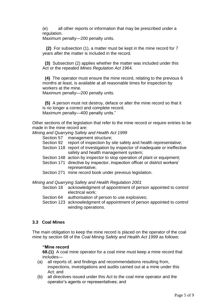(e) all other reports or information that may be prescribed under a regulation.

Maximum penalty—200 penalty units.

 **(2)** For subsection (1), a matter must be kept in the mine record for 7 years after the matter is included in the record.

 **(3)** Subsection (2) applies whether the matter was included under this Act or the repealed *Mines Regulation Act 196*4.

 **(4)** The operator must ensure the mine record, relating to the previous 6 months at least, is available at all reasonable times for inspection by workers at the mine.

Maximum penalty—200 penalty units.

 **(5)** A person must not destroy, deface or alter the mine record so that it is no longer a correct and complete record. Maximum penalty—400 penalty units."

Other sections of the legislation that refer to the mine record or require entries to be made in the mine record are:

*Mining and Quarrying Safety and Health Act 1999* 

- Section 57 management structure;
- Section 92 report of inspection by site safety and health representative;
- Section 118 report of investigation by inspector of inadequate or ineffective safety and health management system;
- Section 148 action by inspector to stop operation of plant or equipment;
- Section 171 directive by inspector, inspection officer or district workers' representative;
- Section 271 mine record book under previous legislation.

*Mining and Quarrying Safety and Health Regulation 2001* 

- Section 18 acknowledgment of appointment of person appointed to control electrical work;
- Section 64 authorisation of person to use explosives;
- Section 123 acknowledgment of appointment of person appointed to control winding operations.

#### **3.3 Coal Mines**

The main obligation to keep the mine record is placed on the operator of the coal mine by section 68 of the *Coal Mining Safety and Health Act 1999* as follows:

#### **"Mine record**

**68.(1)** A coal mine operator for a coal mine must keep a mine record that includes—

- (a) all reports of, and findings and recommendations resulting from, inspections, investigations and audits carried out at a mine under this Act; and
- (b) all directives issued under this Act to the coal mine operator and the operator's agents or representatives; and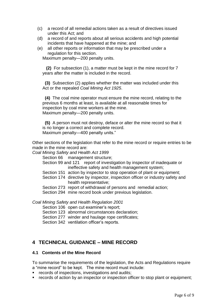- (c) a record of all remedial actions taken as a result of directives issued under this Act; and
- (d) a record of and reports about all serious accidents and high potential incidents that have happened at the mine; and
- (e) all other reports or information that may be prescribed under a regulation for this section.

Maximum penalty—200 penalty units.

 **(2)** For subsection (1), a matter must be kept in the mine record for 7 years after the matter is included in the record.

 **(3)** Subsection (2) applies whether the matter was included under this Act or the repealed *Coal Mining Act 1925*.

 **(4)** The coal mine operator must ensure the mine record, relating to the previous 6 months at least, is available at all reasonable times for inspection by coal mine workers at the mine. Maximum penalty—200 penalty units.

 **(5)** A person must not destroy, deface or alter the mine record so that it is no longer a correct and complete record. Maximum penalty—400 penalty units."

Other sections of the legislation that refer to the mine record or require entries to be made in the mine record are:

*Coal Mining Safety and Health Act 1999* 

Section 66 management structure;

Section 99 and 121 report of investigation by inspector of inadequate or ineffective safety and health management system;

- Section 151 action by inspector to stop operation of plant or equipment;
- Section 174 directive by inspector, inspection officer or industry safety and health representative;
- Section 273 report of withdrawal of persons and remedial action;
- Section 294 mine record book under previous legislation.

*Coal Mining Safety and Health Regulation 2001* 

Section 106 open cut examiner's report:

- Section 123 abnormal circumstances declaration;
- Section 277 winder and haulage rope certificates;
- Section 342 ventilation officer's reports.

## <span id="page-5-0"></span>**4 TECHNICAL GUIDANCE – MINE RECORD**

#### **4.1 Contents of the Mine Record**

To summarise the requirements of the legislation, the Acts and Regulations require a "mine record" to be kept. The mine record must include:

- **•** records of inspections, investigations and audits;
- records of action by an inspector or inspection officer to stop plant or equipment;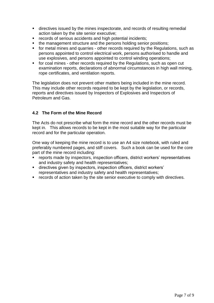- directives issued by the mines inspectorate, and records of resulting remedial action taken by the site senior executive;
- records of serious accidents and high potential incidents;
- the management structure and the persons holding senior positions;
- for metal mines and quarries other records required by the Regulations, such as persons appointed to control electrical work, persons authorised to handle and use explosives, and persons appointed to control winding operations;
- for coal mines other records required by the Regulations, such as open cut examination reports, declarations of abnormal circumstances in high wall mining, rope certificates, and ventilation reports.

The legislation does not prevent other matters being included in the mine record. This may include other records required to be kept by the legislation, or records, reports and directives issued by Inspectors of Explosives and Inspectors of Petroleum and Gas.

## **4.2 The Form of the Mine Record**

The Acts do not prescribe what form the mine record and the other records must be kept in. This allows records to be kept in the most suitable way for the particular record and for the particular operation.

One way of keeping the mine record is to use an A4 size notebook, with ruled and preferably numbered pages, and stiff covers. Such a book can be used for the core part of the mine record including:

- reports made by inspectors, inspection officers, district workers' representatives and industry safety and health representatives;
- directives given by inspectors, inspection officers, district workers' representatives and industry safety and health representatives;
- **•** records of action taken by the site senior executive to comply with directives.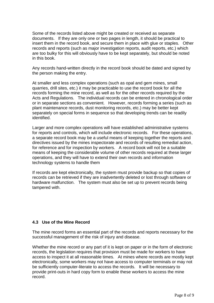Some of the records listed above might be created or received as separate documents. If they are only one or two pages in length, it should be practical to insert them in the record book, and secure them in place with glue or staples. Other records and reports (such as major investigation reports, audit reports, etc.) which are too bulky for this will obviously have to be kept separately, but should be noted in this book.

Any records hand-written directly in the record book should be dated and signed by the person making the entry.

At smaller and less complex operations (such as opal and gem mines, small quarries, drill sites, etc.) it may be practicable to use the record book for all the records forming the mine record, as well as for the other records required by the Acts and Regulations. The individual records can be entered in chronological order or in separate sections as convenient. However, records forming a series (such as plant maintenance records, dust monitoring records, etc.) may be better kept separately on special forms in sequence so that developing trends can be readily identified.

Larger and more complex operations will have established administrative systems for reports and controls, which will include electronic records. For these operations, a separate record book may be a useful means of keeping together the reports and directives issued by the mines inspectorate and records of resulting remedial action, for reference and for inspection by workers. A record book will not be a suitable means of keeping the considerable volume of other records required at these larger operations, and they will have to extend their own records and information technology systems to handle them

If records are kept electronically, the system must provide backup so that copies of records can be retrieved if they are inadvertently deleted or lost through software or hardware malfunction. The system must also be set up to prevent records being tampered with.

#### **4.3 Use of the Mine Record**

The mine record forms an essential part of the records and reports necessary for the successful management of the risk of injury and disease.

Whether the mine record or any part of it is kept on paper or in the form of electronic records, the legislation requires that provision must be made for workers to have access to inspect it at all reasonable times. At mines where records are mostly kept electronically, some workers may not have access to computer terminals or may not be sufficiently computer-literate to access the records. It will be necessary to provide print-outs in hard copy form to enable these workers to access the mine record.